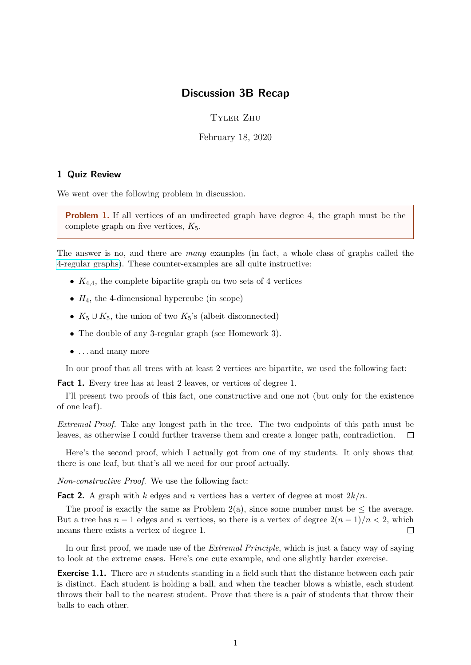# Discussion 3B Recap

Tyler Zhu

February 18, 2020

#### 1 Quiz Review

We went over the following problem in discussion.

**Problem 1.** If all vertices of an undirected graph have degree 4, the graph must be the complete graph on five vertices,  $K_5$ .

The answer is no, and there are many examples (in fact, a whole class of graphs called the [4-regular graphs\)](https://en.wikipedia.org/wiki/Regular_graph). These counter-examples are all quite instructive:

- $K_{4,4}$ , the complete bipartite graph on two sets of 4 vertices
- $H_4$ , the 4-dimensional hypercube (in scope)
- $K_5 \cup K_5$ , the union of two  $K_5$ 's (albeit disconnected)
- The double of any 3-regular graph (see Homework 3).
- . . . and many more

In our proof that all trees with at least 2 vertices are bipartite, we used the following fact:

Fact 1. Every tree has at least 2 leaves, or vertices of degree 1.

I'll present two proofs of this fact, one constructive and one not (but only for the existence of one leaf).

Extremal Proof. Take any longest path in the tree. The two endpoints of this path must be leaves, as otherwise I could further traverse them and create a longer path, contradiction.  $\Box$ 

Here's the second proof, which I actually got from one of my students. It only shows that there is one leaf, but that's all we need for our proof actually.

Non-constructive Proof. We use the following fact:

**Fact 2.** A graph with k edges and n vertices has a vertex of degree at most  $2k/n$ .

The proof is exactly the same as Problem  $2(a)$ , since some number must be  $\leq$  the average. But a tree has  $n-1$  edges and n vertices, so there is a vertex of degree  $2(n-1)/n < 2$ , which means there exists a vertex of degree 1.  $\Box$ 

In our first proof, we made use of the *Extremal Principle*, which is just a fancy way of saying to look at the extreme cases. Here's one cute example, and one slightly harder exercise.

**Exercise 1.1.** There are *n* students standing in a field such that the distance between each pair is distinct. Each student is holding a ball, and when the teacher blows a whistle, each student throws their ball to the nearest student. Prove that there is a pair of students that throw their balls to each other.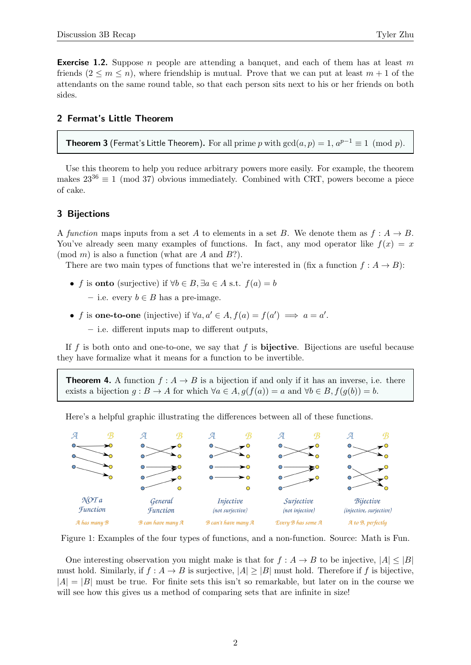## 2 Fermat's Little Theorem

**Theorem 3** (Fermat's Little Theorem). For all prime p with  $gcd(a, p) = 1, a^{p-1} \equiv 1 \pmod{p}$ .

Use this theorem to help you reduce arbitrary powers more easily. For example, the theorem makes  $23^{36} \equiv 1 \pmod{37}$  obvious immediately. Combined with CRT, powers become a piece of cake.

## 3 Bijections

A function maps inputs from a set A to elements in a set B. We denote them as  $f : A \to B$ . You've already seen many examples of functions. In fact, any mod operator like  $f(x) = x$  $(mod m)$  is also a function (what are A and B?).

There are two main types of functions that we're interested in (fix a function  $f : A \rightarrow B$ ):

- f is **onto** (surjective) if  $\forall b \in B$ ,  $\exists a \in A$  s.t.  $f(a) = b$ 
	- i.e. every  $b \in B$  has a pre-image.
- f is one-to-one (injective) if  $\forall a, a' \in A, f(a) = f(a') \implies a = a'$ .
	- i.e. different inputs map to different outputs,

If f is both onto and one-to-one, we say that f is **bijective**. Bijections are useful because they have formalize what it means for a function to be invertible.

**Theorem 4.** A function  $f : A \rightarrow B$  is a bijection if and only if it has an inverse, i.e. there exists a bijection  $g : B \to A$  for which  $\forall a \in A$ ,  $g(f(a)) = a$  and  $\forall b \in B$ ,  $f(g(b)) = b$ .

Here's a helpful graphic illustrating the differences between all of these functions.



Figure 1: Examples of the four types of functions, and a non-function. Source: Math is Fun.

One interesting observation you might make is that for  $f : A \rightarrow B$  to be injective,  $|A| \leq |B|$ must hold. Similarly, if  $f : A \to B$  is surjective,  $|A| \geq |B|$  must hold. Therefore if f is bijective,  $|A| = |B|$  must be true. For finite sets this isn't so remarkable, but later on in the course we will see how this gives us a method of comparing sets that are infinite in size!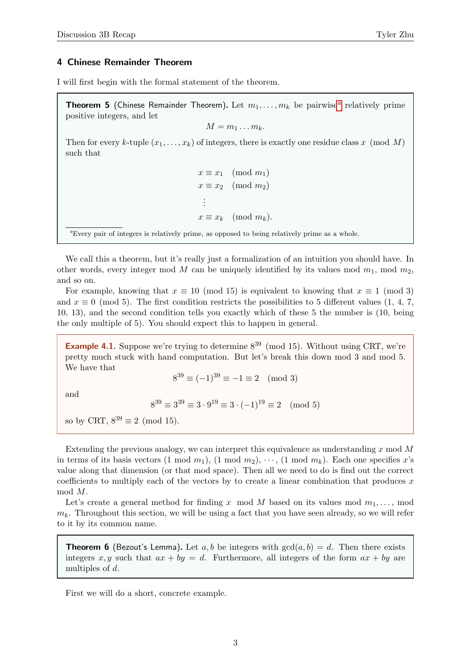#### 4 Chinese Remainder Theorem

I will first begin with the formal statement of the theorem.

**Theorem 5** (Chinese Rem[a](#page-2-0)inder Theorem). Let  $m_1, \ldots, m_k$  be pairwise<sup>a</sup> relatively prime positive integers, and let

$$
M=m_1\ldots m_k.
$$

Then for every k-tuple  $(x_1, \ldots, x_k)$  of integers, there is exactly one residue class x (mod M) such that

> $x \equiv x_1 \pmod{m_1}$  $x \equiv x_2 \pmod{m_2}$ . . .  $x \equiv x_k \pmod{m_k}$ .

<span id="page-2-0"></span><sup>a</sup>Every pair of integers is relatively prime, as opposed to being relatively prime as a whole.

We call this a theorem, but it's really just a formalization of an intuition you should have. In other words, every integer mod M can be uniquely identified by its values mod  $m_1$ , mod  $m_2$ , and so on.

For example, knowing that  $x \equiv 10 \pmod{15}$  is equivalent to knowing that  $x \equiv 1 \pmod{3}$ and  $x \equiv 0 \pmod{5}$ . The first condition restricts the possibilities to 5 different values (1, 4, 7, 10, 13), and the second condition tells you exactly which of these 5 the number is (10, being the only multiple of 5). You should expect this to happen in general.

**Example 4.1.** Suppose we're trying to determine  $8^{39}$  (mod 15). Without using CRT, we're pretty much stuck with hand computation. But let's break this down mod 3 and mod 5. We have that

$$
8^{39} \equiv (-1)^{39} \equiv -1 \equiv 2 \pmod{3}
$$

and

$$
8^{39} \equiv 3^{39} \equiv 3 \cdot 9^{19} \equiv 3 \cdot (-1)^{19} \equiv 2 \pmod{5}
$$

so by CRT,  $8^{39} \equiv 2 \pmod{15}$ .

Extending the previous analogy, we can interpret this equivalence as understanding  $x \mod M$ in terms of its basis vectors  $(1 \mod m_1)$ ,  $(1 \mod m_2)$ ,  $\cdots$ ,  $(1 \mod m_k)$ . Each one specifies x's value along that dimension (or that mod space). Then all we need to do is find out the correct coefficients to multiply each of the vectors by to create a linear combination that produces  $x$ mod M.

Let's create a general method for finding x mod M based on its values mod  $m_1, \ldots$ , mod  $m_k$ . Throughout this section, we will be using a fact that you have seen already, so we will refer to it by its common name.

**Theorem 6** (Bezout's Lemma). Let a, b be integers with  $gcd(a, b) = d$ . Then there exists integers x, y such that  $ax + by = d$ . Furthermore, all integers of the form  $ax + by$  are multiples of d.

First we will do a short, concrete example.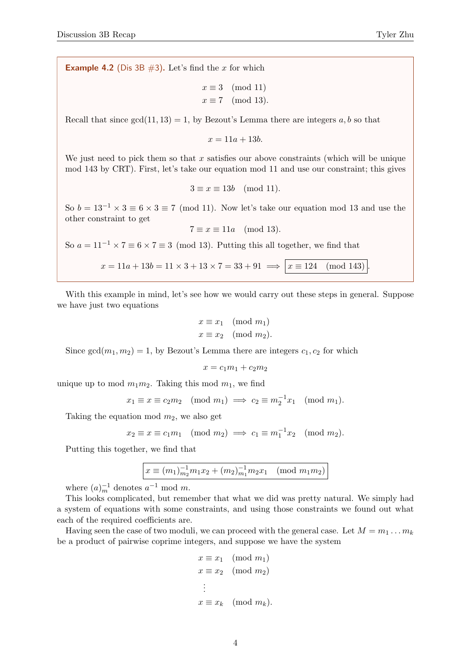**Example 4.2** (Dis 3B  $\#3$ ). Let's find the x for which

$$
x \equiv 3 \pmod{11}
$$

$$
x \equiv 7 \pmod{13}.
$$

Recall that since  $gcd(11, 13) = 1$ , by Bezout's Lemma there are integers a, b so that

 $x = 11a + 13b.$ 

We just need to pick them so that  $x$  satisfies our above constraints (which will be unique mod 143 by CRT). First, let's take our equation mod 11 and use our constraint; this gives

$$
3 \equiv x \equiv 13b \pmod{11}.
$$

So  $b = 13^{-1} \times 3 \equiv 6 \times 3 \equiv 7 \pmod{11}$ . Now let's take our equation mod 13 and use the other constraint to get

$$
7 \equiv x \equiv 11a \pmod{13}.
$$

So  $a = 11^{-1} \times 7 \equiv 6 \times 7 \equiv 3 \pmod{13}$ . Putting this all together, we find that

 $x = 11a + 13b = 11 \times 3 + 13 \times 7 = 33 + 91 \implies x \equiv 124 \pmod{143}$ 

With this example in mind, let's see how we would carry out these steps in general. Suppose we have just two equations

$$
x \equiv x_1 \pmod{m_1}
$$
  

$$
x \equiv x_2 \pmod{m_2}.
$$

Since  $gcd(m_1, m_2) = 1$ , by Bezout's Lemma there are integers  $c_1, c_2$  for which

$$
x = c_1 m_1 + c_2 m_2
$$

unique up to mod  $m_1m_2$ . Taking this mod  $m_1$ , we find

$$
x_1 \equiv x \equiv c_2 m_2 \pmod{m_1} \implies c_2 \equiv m_2^{-1} x_1 \pmod{m_1}.
$$

Taking the equation mod  $m_2$ , we also get

$$
x_2 \equiv x \equiv c_1 m_1 \pmod{m_2} \implies c_1 \equiv m_1^{-1} x_2 \pmod{m_2}.
$$

Putting this together, we find that

$$
x \equiv (m_1)_{m_2}^{-1} m_1 x_2 + (m_2)_{m_1}^{-1} m_2 x_1 \pmod{m_1 m_2}
$$

where  $(a)^{-1}_{m}$  denotes  $a^{-1}$  mod m.

This looks complicated, but remember that what we did was pretty natural. We simply had a system of equations with some constraints, and using those constraints we found out what each of the required coefficients are.

Having seen the case of two moduli, we can proceed with the general case. Let  $M = m_1 \dots m_k$ be a product of pairwise coprime integers, and suppose we have the system

$$
x \equiv x_1 \pmod{m_1}
$$
  
\n
$$
x \equiv x_2 \pmod{m_2}
$$
  
\n
$$
\vdots
$$
  
\n
$$
x \equiv x_k \pmod{m_k}
$$
.